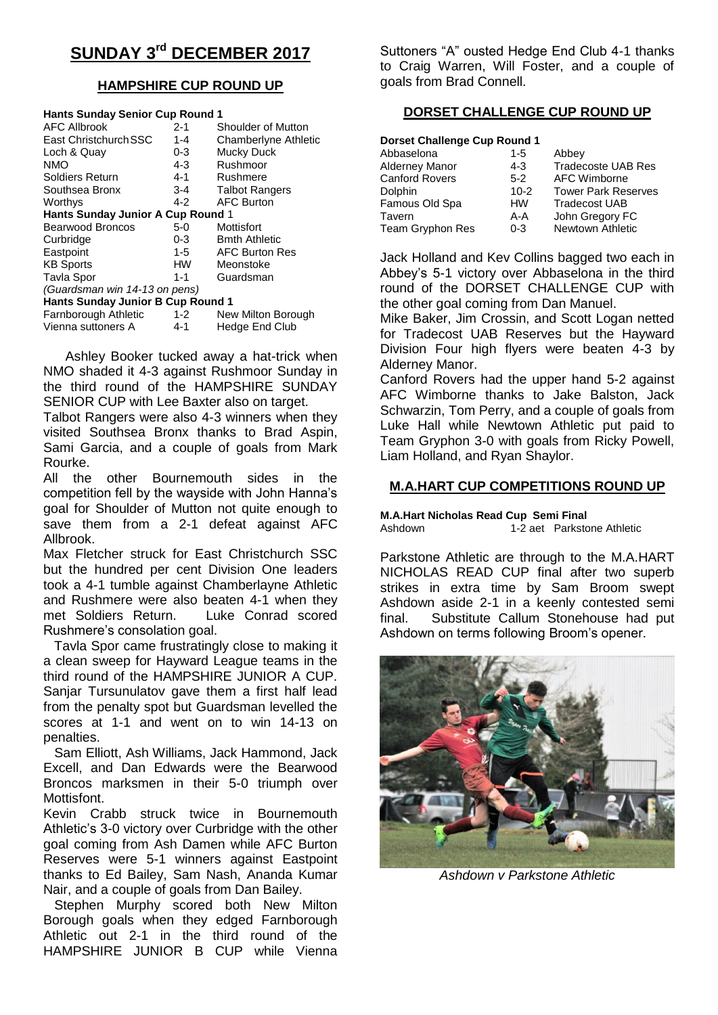# **SUNDAY 3rd DECEMBER 2017**

## **HAMPSHIRE CUP ROUND UP**

| <b>Hants Sunday Senior Cup Round 1</b>   |           |                       |  |  |  |  |
|------------------------------------------|-----------|-----------------------|--|--|--|--|
| <b>AFC Allbrook</b>                      | $2 - 1$   | Shoulder of Mutton    |  |  |  |  |
| East Christchurch SSC                    | $1 - 4$   | Chamberlyne Athletic  |  |  |  |  |
| Loch & Quay                              | $0 - 3$   | Mucky Duck            |  |  |  |  |
| <b>NMO</b>                               | $4 - 3$   | Rushmoor              |  |  |  |  |
| <b>Soldiers Return</b>                   | 4-1       | Rushmere              |  |  |  |  |
| Southsea Bronx                           | 3-4       | <b>Talbot Rangers</b> |  |  |  |  |
| Worthys                                  | 4-2       | <b>AFC Burton</b>     |  |  |  |  |
| <b>Hants Sunday Junior A Cup Round 1</b> |           |                       |  |  |  |  |
| <b>Bearwood Broncos</b>                  | 5-0       | Mottisfort            |  |  |  |  |
| Curbridge                                | $0 - 3$   | <b>Bmth Athletic</b>  |  |  |  |  |
| Eastpoint                                | 1-5       | <b>AFC Burton Res</b> |  |  |  |  |
| <b>KB Sports</b>                         | <b>HW</b> | Meonstoke             |  |  |  |  |
| <b>Tavla Spor</b>                        | 1-1       | Guardsman             |  |  |  |  |
| (Guardsman win 14-13 on pens)            |           |                       |  |  |  |  |
| <b>Hants Sunday Junior B Cup Round 1</b> |           |                       |  |  |  |  |
| Farnborough Athletic                     | 1-2       | New Milton Borough    |  |  |  |  |
| Vienna suttoners A                       | 4-1       | Hedge End Club        |  |  |  |  |

 Ashley Booker tucked away a hat-trick when NMO shaded it 4-3 against Rushmoor Sunday in the third round of the HAMPSHIRE SUNDAY SENIOR CUP with Lee Baxter also on target.

Talbot Rangers were also 4-3 winners when they visited Southsea Bronx thanks to Brad Aspin, Sami Garcia, and a couple of goals from Mark Rourke.

All the other Bournemouth sides in the competition fell by the wayside with John Hanna's goal for Shoulder of Mutton not quite enough to save them from a 2-1 defeat against AFC Allbrook.

Max Fletcher struck for East Christchurch SSC but the hundred per cent Division One leaders took a 4-1 tumble against Chamberlayne Athletic and Rushmere were also beaten 4-1 when they met Soldiers Return. Luke Conrad scored Rushmere's consolation goal.

 Tavla Spor came frustratingly close to making it a clean sweep for Hayward League teams in the third round of the HAMPSHIRE JUNIOR A CUP. Sanjar Tursunulatov gave them a first half lead from the penalty spot but Guardsman levelled the scores at 1-1 and went on to win 14-13 on penalties.

 Sam Elliott, Ash Williams, Jack Hammond, Jack Excell, and Dan Edwards were the Bearwood Broncos marksmen in their 5-0 triumph over Mottisfont.

Kevin Crabb struck twice in Bournemouth Athletic's 3-0 victory over Curbridge with the other goal coming from Ash Damen while AFC Burton Reserves were 5-1 winners against Eastpoint thanks to Ed Bailey, Sam Nash, Ananda Kumar Nair, and a couple of goals from Dan Bailey.

 Stephen Murphy scored both New Milton Borough goals when they edged Farnborough Athletic out 2-1 in the third round of the HAMPSHIRE JUNIOR B CUP while Vienna

Suttoners "A" ousted Hedge End Club 4-1 thanks to Craig Warren, Will Foster, and a couple of goals from Brad Connell.

# **DORSET CHALLENGE CUP ROUND UP**

| <b>Dorset Challenge Cup Round 1</b> |           |                            |  |  |  |  |  |
|-------------------------------------|-----------|----------------------------|--|--|--|--|--|
| Abbaselona                          | $1 - 5$   | Abbey                      |  |  |  |  |  |
| <b>Alderney Manor</b>               | $4 - 3$   | <b>Tradecoste UAB Res</b>  |  |  |  |  |  |
| <b>Canford Rovers</b>               | $5-2$     | AFC Wimborne               |  |  |  |  |  |
| Dolphin                             | $10 - 2$  | <b>Tower Park Reserves</b> |  |  |  |  |  |
| Famous Old Spa                      | <b>HW</b> | <b>Tradecost UAB</b>       |  |  |  |  |  |
| Tavern                              | A-A       | John Gregory FC            |  |  |  |  |  |
| Team Gryphon Res                    | $0 - 3$   | Newtown Athletic           |  |  |  |  |  |

Jack Holland and Kev Collins bagged two each in Abbey's 5-1 victory over Abbaselona in the third round of the DORSET CHALLENGE CUP with the other goal coming from Dan Manuel.

Mike Baker, Jim Crossin, and Scott Logan netted for Tradecost UAB Reserves but the Hayward Division Four high flyers were beaten 4-3 by Alderney Manor.

Canford Rovers had the upper hand 5-2 against AFC Wimborne thanks to Jake Balston, Jack Schwarzin, Tom Perry, and a couple of goals from Luke Hall while Newtown Athletic put paid to Team Gryphon 3-0 with goals from Ricky Powell, Liam Holland, and Ryan Shaylor.

# **M.A.HART CUP COMPETITIONS ROUND UP**

**M.A.Hart Nicholas Read Cup Semi Final**

Ashdown 1-2 aet Parkstone Athletic

Parkstone Athletic are through to the M.A.HART NICHOLAS READ CUP final after two superb strikes in extra time by Sam Broom swept Ashdown aside 2-1 in a keenly contested semi final. Substitute Callum Stonehouse had put Ashdown on terms following Broom's opener.



*Ashdown v Parkstone Athletic*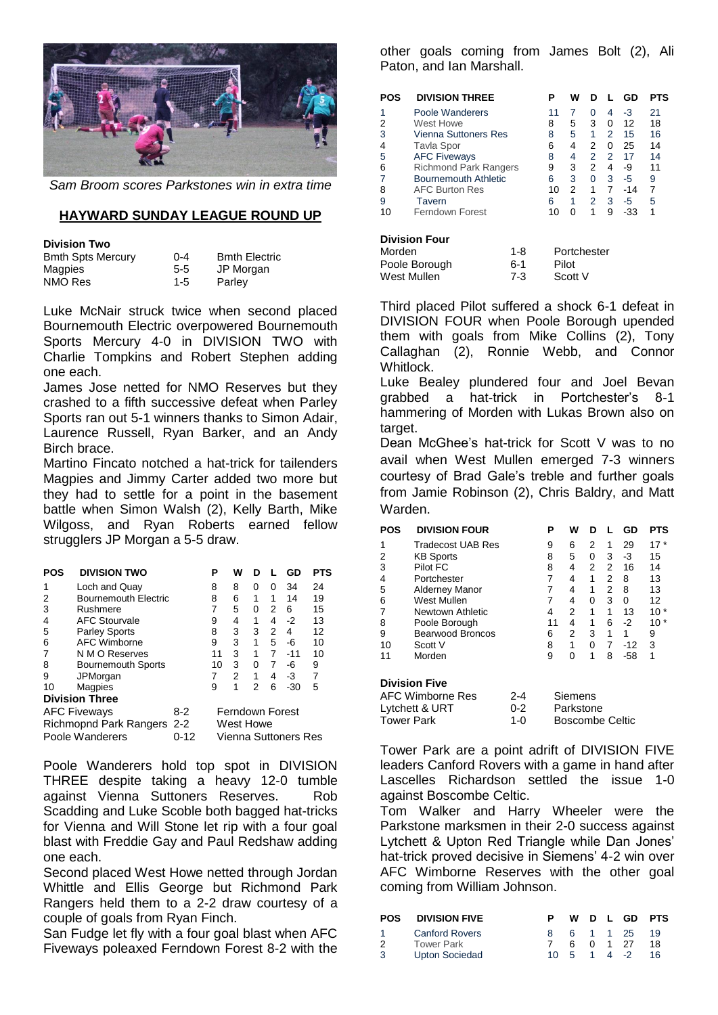

*Sam Broom scores Parkstones win in extra time*

### **HAYWARD SUNDAY LEAGUE ROUND UP**

#### **Division Two**

| <b>Bmth Spts Mercury</b> | $0 - 4$ | <b>Bmth Electric</b> |
|--------------------------|---------|----------------------|
| Magpies                  | $5 - 5$ | JP Morgan            |
| NMO Res                  | $1 - 5$ | Parley               |

Luke McNair struck twice when second placed Bournemouth Electric overpowered Bournemouth Sports Mercury 4-0 in DIVISION TWO with Charlie Tompkins and Robert Stephen adding one each.

James Jose netted for NMO Reserves but they crashed to a fifth successive defeat when Parley Sports ran out 5-1 winners thanks to Simon Adair, Laurence Russell, Ryan Barker, and an Andy Birch brace.

Martino Fincato notched a hat-trick for tailenders Magpies and Jimmy Carter added two more but they had to settle for a point in the basement battle when Simon Walsh (2), Kelly Barth, Mike Wilgoss, and Ryan Roberts earned fellow strugglers JP Morgan a 5-5 draw.

| POS | <b>DIVISION TWO</b>         |       | Р  | w               | D        |   | GD                   | PTS |
|-----|-----------------------------|-------|----|-----------------|----------|---|----------------------|-----|
| 1   | Loch and Quay               |       | 8  | 8               | 0        | 0 | 34                   | 24  |
| 2   | <b>Bournemouth Electric</b> |       | 8  | 6               | 1        | 1 | 14                   | 19  |
| 3   | Rushmere                    |       | 7  | 5               | $\Omega$ | 2 | 6                    | 15  |
| 4   | <b>AFC Stourvale</b>        |       | 9  | 4               | 1        | 4 | $-2$                 | 13  |
| 5   | <b>Parley Sports</b>        |       | 8  | 3               | 3        | 2 | 4                    | 12  |
| 6   | <b>AFC Wimborne</b>         |       | 9  | 3               | 1        | 5 | -6                   | 10  |
| 7   | N M O Reserves              |       | 11 | 3               | 1        | 7 | $-11$                | 10  |
| 8   | <b>Bournemouth Sports</b>   |       | 10 | 3               | 0        | 7 | -6                   | 9   |
| 9   | JPMorgan                    |       | 7  | 2               | 1        | 4 | -3                   | 7   |
| 10  | Magpies                     |       | 9  | 1               | 2        | 6 | $-30$                | 5   |
|     | <b>Division Three</b>       |       |    |                 |          |   |                      |     |
|     | <b>AFC Fiveways</b>         | $8-2$ |    | Ferndown Forest |          |   |                      |     |
|     | Richmopnd Park Rangers 2-2  |       |    | West Howe       |          |   |                      |     |
|     | Poole Wanderers             | 0-12  |    |                 |          |   | Vienna Suttoners Res |     |

Poole Wanderers hold top spot in DIVISION THREE despite taking a heavy 12-0 tumble against Vienna Suttoners Reserves. Rob Scadding and Luke Scoble both bagged hat-tricks for Vienna and Will Stone let rip with a four goal blast with Freddie Gay and Paul Redshaw adding one each.

Second placed West Howe netted through Jordan Whittle and Ellis George but Richmond Park Rangers held them to a 2-2 draw courtesy of a couple of goals from Ryan Finch.

San Fudge let fly with a four goal blast when AFC Fiveways poleaxed Ferndown Forest 8-2 with the other goals coming from James Bolt (2), Ali Paton, and Ian Marshall.

| <b>POS</b>                                    | <b>DIVISION THREE</b>        | Р  | W |   |   | GD    | PTS |
|-----------------------------------------------|------------------------------|----|---|---|---|-------|-----|
| 1                                             | Poole Wanderers              | 11 | 7 | 0 | 4 | -3    | 21  |
| 2                                             | West Howe                    | 8  | 5 | 3 | 0 | 12    | 18  |
| 3                                             | <b>Vienna Suttoners Res</b>  | 8  | 5 | 1 | 2 | 15    | 16  |
| 4                                             | Tavla Spor                   | 6  | 4 | 2 | 0 | 25    | 14  |
| 5                                             | <b>AFC Fiveways</b>          | 8  | 4 | 2 | 2 | 17    | 14  |
| 6                                             | <b>Richmond Park Rangers</b> | 9  | 3 | 2 | 4 | -9    | 11  |
| 7                                             | <b>Bournemouth Athletic</b>  | 6  | 3 | 0 | 3 | -5    | 9   |
| 8                                             | <b>AFC Burton Res</b>        | 10 | 2 | 1 | 7 | $-14$ | 7   |
| 9                                             | Tavern                       | 6  | 1 | 2 | 3 | -5    | 5   |
| 10                                            | Ferndown Forest              | 10 | 0 | 1 | 9 | -33   | 1   |
| <b>Division Four</b><br>Morden<br>Portchester |                              |    |   |   |   |       |     |
|                                               | 1-R                          |    |   |   |   |       |     |

| Morden        | 1-8   | Portchester |
|---------------|-------|-------------|
| Poole Borough | 6-1   | Pilot       |
| West Mullen   | $7-3$ | Scott V     |
|               |       |             |

Third placed Pilot suffered a shock 6-1 defeat in DIVISION FOUR when Poole Borough upended them with goals from Mike Collins (2), Tony Callaghan (2), Ronnie Webb, and Connor Whitlock.

Luke Bealey plundered four and Joel Bevan grabbed a hat-trick in Portchester's 8-1 hammering of Morden with Lukas Brown also on target.

Dean McGhee's hat-trick for Scott V was to no avail when West Mullen emerged 7-3 winners courtesy of Brad Gale's treble and further goals from Jamie Robinson (2), Chris Baldry, and Matt Warden.

| <b>POS</b> | <b>DIVISION FOUR</b>    |         | Ρ  | W         | D |   | GD    | <b>PTS</b> |
|------------|-------------------------|---------|----|-----------|---|---|-------|------------|
| 1          | Tradecost UAB Res       |         | 9  | 6         | 2 | 1 | 29    | $17*$      |
| 2          | <b>KB Sports</b>        |         | 8  | 5         | 0 | 3 | -3    | 15         |
| 3          | Pilot FC                |         | 8  | 4         | 2 | 2 | 16    | 14         |
| 4          | Portchester             |         | 7  | 4         | 1 | 2 | 8     | 13         |
| 5          | <b>Alderney Manor</b>   |         | 7  | 4         | 1 | 2 | 8     | 13         |
| 6          | West Mullen             |         | 7  | 4         | 0 | 3 | 0     | 12         |
| 7          | Newtown Athletic        |         | 4  | 2         | 1 | 1 | 13    | $10*$      |
| 8          | Poole Borough           |         | 11 | 4         | 1 | 6 | -2    | $10*$      |
| 9          | <b>Bearwood Broncos</b> |         | 6  | 2         | 3 | 1 | 1     | 9          |
| 10         | Scott V                 |         | 8  | 1         | 0 | 7 | -12   | 3          |
| 11         | Morden                  |         | 9  | 0         | 1 | 8 | $-58$ | 1          |
|            | <b>Division Five</b>    |         |    |           |   |   |       |            |
|            | AFC Wimborne Res        | 2-4     |    | Siemens   |   |   |       |            |
|            | Lytchett & URT          | $0 - 2$ |    | Parkstone |   |   |       |            |

Tower Park are a point adrift of DIVISION FIVE leaders Canford Rovers with a game in hand after Lascelles Richardson settled the issue 1-0 against Boscombe Celtic.

Tower Park 1-0 Boscombe Celtic

Tom Walker and Harry Wheeler were the Parkstone marksmen in their 2-0 success against Lytchett & Upton Red Triangle while Dan Jones' hat-trick proved decisive in Siemens' 4-2 win over AFC Wimborne Reserves with the other goal coming from William Johnson.

| <b>POS</b> | <b>DIVISION FIVE</b>  |                                       |  |               | W D L GD PTS |
|------------|-----------------------|---------------------------------------|--|---------------|--------------|
| $1 \quad$  | Canford Rovers        |                                       |  | 8 6 1 1 25 19 |              |
| 2          | Tower Park            |                                       |  | 6 0 1 27      | 18           |
| -3         | <b>Upton Sociedad</b> | $10 \quad 5 \quad 1 \quad 4 \quad -2$ |  |               | -16          |